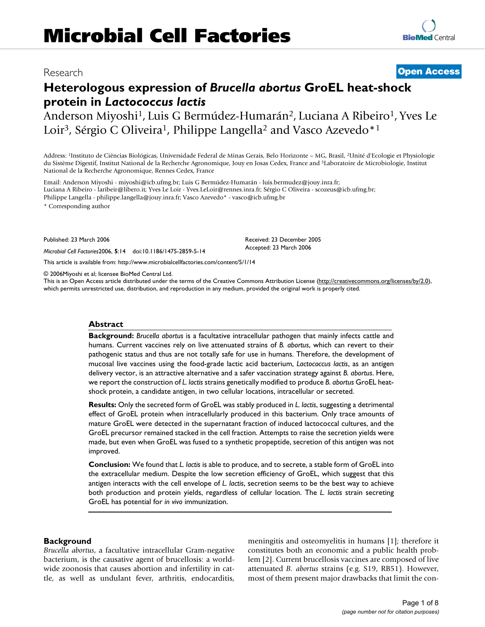# Research **[Open Access](http://www.biomedcentral.com/info/about/charter/)**

# **Heterologous expression of** *Brucella abortus* **GroEL heat-shock protein in** *Lactococcus lactis*

Anderson Miyoshi<sup>1</sup>, Luis G Bermúdez-Humarán<sup>2</sup>, Luciana A Ribeiro<sup>1</sup>, Yves Le Loir<sup>3</sup>, Sérgio C Oliveira<sup>1</sup>, Philippe Langella<sup>2</sup> and Vasco Azevedo<sup>\*1</sup>

Address: 1Instituto de Ciências Biológicas, Universidade Federal de Minas Gerais, Belo Horizonte – MG, Brasil, 2Unité d'Ecologie et Physiologie du Sistème Digestif, Institut National de la Recherche Agronomique, Jouy en Josas Cedex, France and 3Laboratoire de Microbiologie, Institut National de la Recherche Agronomique, Rennes Cedex, France

Email: Anderson Miyoshi - miyoshi@icb.ufmg.br; Luis G Bermúdez-Humarán - luis.bermudez@jouy.inra.fr; Luciana A Ribeiro - laribeir@libero.it; Yves Le Loir - Yves.LeLoir@rennes.inra.fr; Sérgio C Oliveira - scozeus@icb.ufmg.br; Philippe Langella - philippe.langella@jouy.inra.fr; Vasco Azevedo\* - vasco@icb.ufmg.br

\* Corresponding author

Published: 23 March 2006

*Microbial Cell Factories*2006, **5**:14 doi:10.1186/1475-2859-5-14

[This article is available from: http://www.microbialcellfactories.com/content/5/1/14](http://www.microbialcellfactories.com/content/5/1/14)

© 2006Miyoshi et al; licensee BioMed Central Ltd.

This is an Open Access article distributed under the terms of the Creative Commons Attribution License [\(http://creativecommons.org/licenses/by/2.0\)](http://creativecommons.org/licenses/by/2.0), which permits unrestricted use, distribution, and reproduction in any medium, provided the original work is properly cited.

Received: 23 December 2005 Accepted: 23 March 2006

#### **Abstract**

**Background:** *Brucella abortus* is a facultative intracellular pathogen that mainly infects cattle and humans. Current vaccines rely on live attenuated strains of *B. abortus*, which can revert to their pathogenic status and thus are not totally safe for use in humans. Therefore, the development of mucosal live vaccines using the food-grade lactic acid bacterium, *Lactococcus lactis*, as an antigen delivery vector, is an attractive alternative and a safer vaccination strategy against *B. abortus*. Here, we report the construction of *L. lactis* strains genetically modified to produce *B. abortus* GroEL heatshock protein, a candidate antigen, in two cellular locations, intracellular or secreted.

**Results:** Only the secreted form of GroEL was stably produced in *L. lactis*, suggesting a detrimental effect of GroEL protein when intracellularly produced in this bacterium. Only trace amounts of mature GroEL were detected in the supernatant fraction of induced lactococcal cultures, and the GroEL precursor remained stacked in the cell fraction. Attempts to raise the secretion yields were made, but even when GroEL was fused to a synthetic propeptide, secretion of this antigen was not improved.

**Conclusion:** We found that *L. lactis* is able to produce, and to secrete, a stable form of GroEL into the extracellular medium. Despite the low secretion efficiency of GroEL, which suggest that this antigen interacts with the cell envelope of *L. lactis*, secretion seems to be the best way to achieve both production and protein yields, regardless of cellular location. The *L. lactis* strain secreting GroEL has potential for *in vivo* immunization.

#### **Background**

*Brucella abortus*, a facultative intracellular Gram-negative bacterium, is the causative agent of brucellosis: a worldwide zoonosis that causes abortion and infertility in cattle, as well as undulant fever, arthritis, endocarditis, meningitis and osteomyelitis in humans [1]; therefore it constitutes both an economic and a public health problem [2]. Current brucellosis vaccines are composed of live attenuated *B. abortus* strains (e.g. S19, RB51). However, most of them present major drawbacks that limit the con-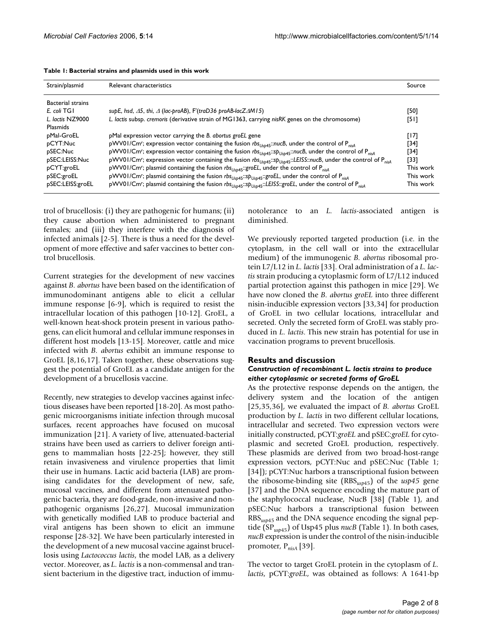| Strain/plasmid           | Relevant characteristics                                                                                                                                          | Source    |  |
|--------------------------|-------------------------------------------------------------------------------------------------------------------------------------------------------------------|-----------|--|
| <b>Bacterial strains</b> |                                                                                                                                                                   |           |  |
| E. coli TGI              | supE, hsd, $\Delta$ 5, thi, $\Delta$ (lac-proAB), F'(traD36 proAB-lacZ $\Delta$ M15)                                                                              | [50]      |  |
| L. lactis NZ9000         | L. lactis subsp. cremoris (derivative strain of MG1363, carrying nisRK genes on the chromosome)                                                                   | [51]      |  |
| Plasmids                 |                                                                                                                                                                   |           |  |
| pMal-GroEL               | pMal expression vector carrying the B. abortus groEL gene                                                                                                         | [17]      |  |
| pCYT:Nuc                 | pWV01/Cm <sup>r</sup> ; expression vector containing the fusion $rbs_{Usp45}$ : nucB, under the control of P <sub>nisA</sub>                                      | [34]      |  |
| pSEC:Nuc                 | pWV01/Cm <sup>r</sup> ; expression vector containing the fusion $rbs_{Usp45}::sp_{Usp45}::nuCB$ , under the control of $P_{nisA}$                                 | [34]      |  |
| pSEC:LEISS:Nuc           | pWV01/Cm <sup>r</sup> ; expression vector containing the fusion rbs <sub>Usb45</sub> :: Sp <sub>Usb45</sub> : LEISS::nucB, under the control of P <sub>nisA</sub> | [33]      |  |
| pCYT:groEL               | pWV01/Cm <sup>r</sup> ; plasmid containing the fusion rbs <sub>Usp45</sub> :: groEL, under the control of P <sub>nisA</sub>                                       | This work |  |
| pSEC:groEL               | pWV01/Cm <sup>r</sup> ; plasmid containing the fusion $rbs_{Usp45}::sp_{Usp45}::groEL$ , under the control of P <sub>nisA</sub>                                   | This work |  |
| pSEC:LEISS:groEL         | pWV01/Cm <sup>r</sup> ; plasmid containing the fusion rbs <sub>Usp45</sub> ::sp <sub>Usp45</sub> ::LEISS::groEL, under the control of P <sub>nisA</sub>           | This work |  |

|  |  | Table 1: Bacterial strains and plasmids used in this work |  |  |  |  |  |  |  |
|--|--|-----------------------------------------------------------|--|--|--|--|--|--|--|
|--|--|-----------------------------------------------------------|--|--|--|--|--|--|--|

trol of brucellosis: (i) they are pathogenic for humans; (ii) they cause abortion when administered to pregnant females; and (iii) they interfere with the diagnosis of infected animals [2-5]. There is thus a need for the development of more effective and safer vaccines to better control brucellosis.

Current strategies for the development of new vaccines against *B. abortus* have been based on the identification of immunodominant antigens able to elicit a cellular immune response [6-9], which is required to resist the intracellular location of this pathogen [10-12]. GroEL, a well-known heat-shock protein present in various pathogens, can elicit humoral and cellular immune responses in different host models [13-15]. Moreover, cattle and mice infected with *B. abortus* exhibit an immune response to GroEL [8,16,17]. Taken together, these observations suggest the potential of GroEL as a candidate antigen for the development of a brucellosis vaccine.

Recently, new strategies to develop vaccines against infectious diseases have been reported [18-20]. As most pathogenic microorganisms initiate infection through mucosal surfaces, recent approaches have focused on mucosal immunization [21]. A variety of live, attenuated-bacterial strains have been used as carriers to deliver foreign antigens to mammalian hosts [22-25]; however, they still retain invasiveness and virulence properties that limit their use in humans. Lactic acid bacteria (LAB) are promising candidates for the development of new, safe, mucosal vaccines, and different from attenuated pathogenic bacteria, they are food-grade, non-invasive and nonpathogenic organisms [26,27]. Mucosal immunization with genetically modified LAB to produce bacterial and viral antigens has been shown to elicit an immune response [28-32]. We have been particularly interested in the development of a new mucosal vaccine against brucellosis using *Lactococcus lactis*, the model LAB, as a delivery vector. Moreover, as *L. lactis* is a non-commensal and transient bacterium in the digestive tract, induction of immunotolerance to an *L. lactis-*associated antigen is diminished.

We previously reported targeted production (i.e. in the cytoplasm, in the cell wall or into the extracellular medium) of the immunogenic *B. abortus* ribosomal protein L7/L12 in *L. lactis* [33]. Oral administration of a *L. lactis* strain producing a cytoplasmic form of L7/L12 induced partial protection against this pathogen in mice [29]. We have now cloned the *B. abortus groEL* into three different nisin-inducible expression vectors [33,34] for production of GroEL in two cellular locations, intracellular and secreted. Only the secreted form of GroEL was stably produced in *L. lactis*. This new strain has potential for use in vaccination programs to prevent brucellosis.

#### **Results and discussion**

#### *Construction of recombinant L. lactis strains to produce either cytoplasmic or secreted forms of GroEL*

As the protective response depends on the antigen, the delivery system and the location of the antigen [25,[35,](#page-6-0)36], we evaluated the impact of *B. abortus* GroEL production by *L. lactis* in two different cellular locations, intracellular and secreted. Two expression vectors were initially constructed, pCYT:*groEL* and pSEC:*groEL* for cytoplasmic and secreted GroEL production, respectively. These plasmids are derived from two broad-host-range expression vectors, pCYT:Nuc and pSEC:Nuc (Table 1; [34]); pCYT:Nuc harbors a transcriptional fusion between the ribosome-binding site (RBS*usp*45) of the *usp45* gene [37] and the DNA sequence encoding the mature part of the staphylococcal nuclease, NucB [38] (Table 1), and pSEC:Nuc harbors a transcriptional fusion between RBS*usp*45 and the DNA sequence encoding the signal peptide (SP*usp*45) of Usp45 plus *nucB* (Table 1). In both cases, *nucB* expression is under the control of the nisin-inducible promoter, P*nisA* [39].

The vector to target GroEL protein in the cytoplasm of *L. lactis*, pCYT:*groEL*, was obtained as follows: A 1641-bp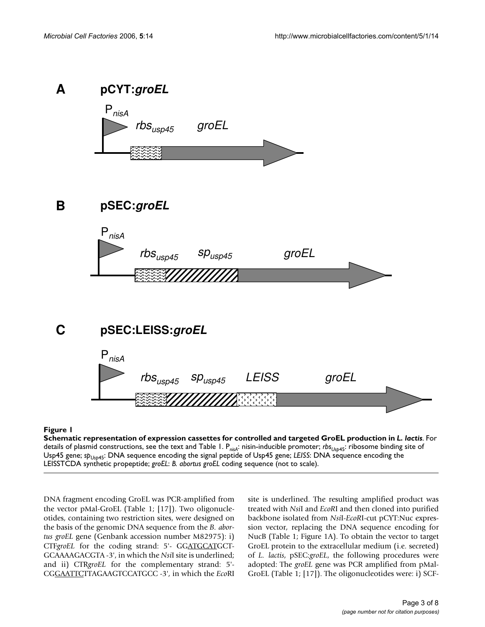

#### **Figure 1** Schematic representation of expression cassettes for controlled and targeted GroEL production in *L. lactis*

**Schematic representation of expression cassettes for controlled and targeted GroEL production in** *L. lactis.* **For** details of plasmid constructions, see the text and Table 1. P*nisA*: nisin-inducible promoter; *rbsUsp*45: ribosome binding site of Usp45 gene; *sp<sub>Usp45</sub>*: DNA sequence encoding the signal peptide of Usp45 gene; *LEISS*: DNA sequence encoding the LEISSTCDA synthetic propeptide; *groEL*: *B. abortus groEL* coding sequence (not to scale).

DNA fragment encoding GroEL was PCR-amplified from the vector pMal-GroEL (Table 1; [17]). Two oligonucleotides, containing two restriction sites, were designed on the basis of the genomic DNA sequence from the *B. abortus groEL* gene (Genbank accession number M82975): i) CTF*groEL* for the coding strand: 5'- GGATGCATGCT-GCAAAAGACGTA -3', in which the *Nsi*I site is underlined; and ii) CTR*groEL* for the complementary strand: 5'- CGGAATTCTTAGAAGTCCATGCC -3', in which the *Eco*RI site is underlined. The resulting amplified product was treated with *Nsi*I and *EcoR*I and then cloned into purified backbone isolated from *Nsi*I-*EcoR*I-cut pCYT:Nuc expression vector, replacing the DNA sequence encoding for NucB (Table 1; Figure 1A). To obtain the vector to target GroEL protein to the extracellular medium (i.e. secreted) of *L. lactis*, pSEC:*groEL*, the following procedures were adopted: The *groEL* gene was PCR amplified from pMal-GroEL (Table 1; [17]). The oligonucleotides were: i) SCF-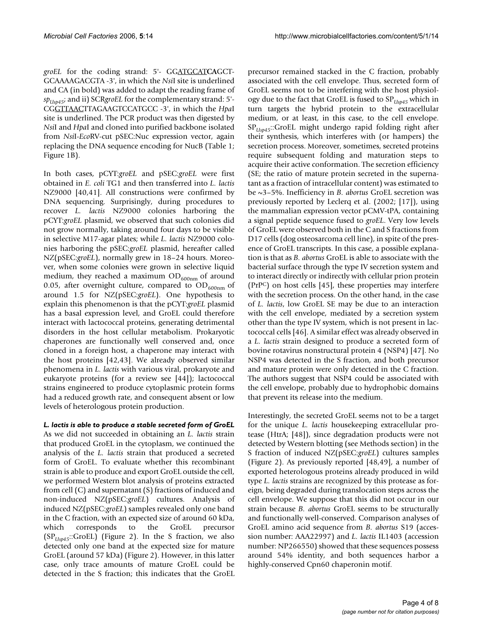*groEL* for the coding strand: 5'- GGATGCAT**CA**GCT-GCAAAAGACGTA -3', in which the *Nsi*I site is underlined and CA (in bold) was added to adapt the reading frame of *spUsp45*; and ii) SCR*groEL* for the complementary strand: 5'- CGGTTAACTTAGAAGTCCATGCC -3', in which the *Hpa*I site is underlined. The PCR product was then digested by *Nsi*I and *Hpa*I and cloned into purified backbone isolated from *Nsi*I-*Eco*RV-cut pSEC:Nuc expression vector, again replacing the DNA sequence encoding for NucB (Table 1; Figure 1B).

In both cases, pCYT:*groEL* and pSEC:*groEL* were first obtained in *E. coli* TG1 and then transferred into *L. lactis* NZ9000 [40,41]. All constructions were confirmed by DNA sequencing. Surprisingly, during procedures to recover *L. lactis* NZ9000 colonies harboring the pCYT:*groEL* plasmid, we observed that such colonies did not grow normally, taking around four days to be visible in selective M17-agar plates; while *L. lactis* NZ9000 colonies harboring the pSEC:*groEL* plasmid, hereafter called NZ(pSEC:*groEL*), normally grew in 18–24 hours. Moreover, when some colonies were grown in selective liquid medium, they reached a maximum  $OD_{600nm}$  of around 0.05, after overnight culture, compared to  $OD_{600nm}$  of around 1.5 for NZ(pSEC:*groEL*). One hypothesis to explain this phenomenon is that the pCYT:*groEL* plasmid has a basal expression level, and GroEL could therefore interact with lactococcal proteins, generating detrimental disorders in the host cellular metabolism. Prokaryotic chaperones are functionally well conserved and, once cloned in a foreign host, a chaperone may interact with the host proteins [42,43]. We already observed similar phenomena in *L. lactis* with various viral, prokaryote and eukaryote proteins (for a review see [44]); lactococcal strains engineered to produce cytoplasmic protein forms had a reduced growth rate, and consequent absent or low levels of heterologous protein production.

# *L. lactis is able to produce a stable secreted form of GroEL*

As we did not succeeded in obtaining an *L. lactis* strain that produced GroEL in the cytoplasm, we continued the analysis of the *L. lactis* strain that produced a secreted form of GroEL. To evaluate whether this recombinant strain is able to produce and export GroEL outside the cell, we performed Western blot analysis of proteins extracted from cell (C) and supernatant (S) fractions of induced and non-induced NZ(pSEC:*groEL*) cultures. Analysis of induced NZ(pSEC:*groEL*) samples revealed only one band in the C fraction, with an expected size of around 60 kDa, which corresponds to the GroEL precursor (SP*Usp45*::GroEL) (Figure 2). In the S fraction, we also detected only one band at the expected size for mature GroEL (around 57 kDa) (Figure 2). However, in this latter case, only trace amounts of mature GroEL could be detected in the S fraction; this indicates that the GroEL

precursor remained stacked in the C fraction, probably associated with the cell envelope. Thus, secreted form of GroEL seems not to be interfering with the host physiology due to the fact that GroEL is fused to SP*Usp45* which in turn targets the hybrid protein to the extracellular medium, or at least, in this case, to the cell envelope. SP*Usp45*::GroEL might undergo rapid folding right after their synthesis, which interferes with (or hampers) the secretion process. Moreover, sometimes, secreted proteins require subsequent folding and maturation steps to acquire their active conformation. The secretion efficiency (SE; the ratio of mature protein secreted in the supernatant as a fraction of intracellular content) was estimated to be ~3–5%. Inefficiency in *B. abortus* GroEL secretion was previously reported by Leclerq et al. (2002; [17]), using the mammalian expression vector pCMV-tPA, containing a signal peptide sequence fused to *groEL*. Very low levels of GroEL were observed both in the C and S fractions from D17 cells (dog osteosarcoma cell line), in spite of the presence of GroEL transcripts. In this case, a possible explanation is that as *B. abortus* GroEL is able to associate with the bacterial surface through the type IV secretion system and to interact directly or indirectly with cellular prion protein (PrPC) on host cells [45], these properties may interfere with the secretion process. On the other hand, in the case of *L. lactis*, low GroEL SE may be due to an interaction with the cell envelope, mediated by a secretion system other than the type IV system, which is not present in lactococcal cells [46]. A similar effect was already observed in a *L. lactis* strain designed to produce a secreted form of bovine rotavirus nonstructural protein 4 (NSP4) [47]. No NSP4 was detected in the S fraction, and both precursor and mature protein were only detected in the C fraction. The authors suggest that NSP4 could be associated with the cell envelope, probably due to hydrophobic domains that prevent its release into the medium.

Interestingly, the secreted GroEL seems not to be a target for the unique *L. lactis* housekeeping extracellular protease (HtrA; [48]), since degradation products were not detected by Western blotting (see Methods section) in the S fraction of induced NZ(pSEC:*groEL*) cultures samples (Figure 2). As previously reported [48,49], a number of exported heterologous proteins already produced in wild type *L. lactis* strains are recognized by this protease as foreign, being degraded during translocation steps across the cell envelope. We suppose that this did not occur in our strain because *B. abortus* GroEL seems to be structurally and functionally well-conserved. Comparison analyses of GroEL amino acid sequence from *B. abortus* S19 (accession number: AAA22997) and *L. lactis* IL1403 (accession number: NP266550) showed that these sequences possess around 54% identity, and both sequences harbor a highly-conserved Cpn60 chaperonin motif.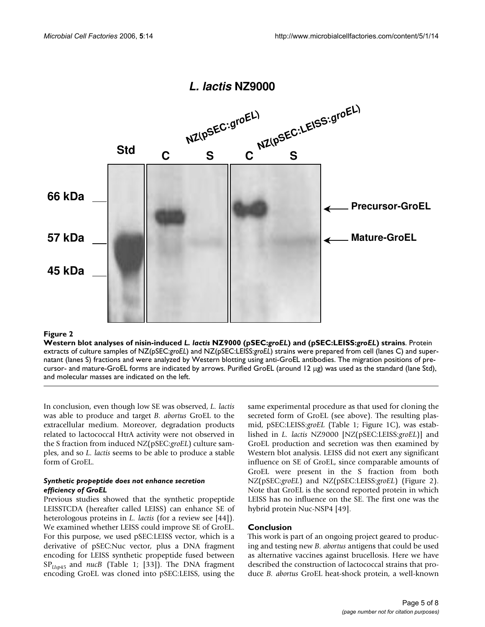

## Western blot analyses of nisin-induced **Figure 2** *L. lactis* NZ9000 (pSEC:*groEL*) and (pSEC:LEISS:*groEL*) strains

**Western blot analyses of nisin-induced** *L. lactis* **NZ9000 (pSEC:***groEL***) and (pSEC:LEISS:***groEL***) strains**. Protein extracts of culture samples of NZ(pSEC:*groEL*) and NZ(pSEC:LEISS:*groEL*) strains were prepared from cell (lanes C) and supernatant (lanes S) fractions and were analyzed by Western blotting using anti-GroEL antibodies. The migration positions of precursor- and mature-GroEL forms are indicated by arrows. Purified GroEL (around 12 µg) was used as the standard (lane Std), and molecular masses are indicated on the left.

In conclusion, even though low SE was observed, *L. lactis* was able to produce and target *B. abortus* GroEL to the extracellular medium. Moreover, degradation products related to lactococcal HtrA activity were not observed in the S fraction from induced NZ(pSEC:*groEL*) culture samples, and so *L. lactis* seems to be able to produce a stable form of GroEL.

#### *Synthetic propeptide does not enhance secretion efficiency of GroEL*

Previous studies showed that the synthetic propeptide LEISSTCDA (hereafter called LEISS) can enhance SE of heterologous proteins in *L. lactis* (for a review see [44]). We examined whether LEISS could improve SE of GroEL. For this purpose, we used pSEC:LEISS vector, which is a derivative of pSEC:Nuc vector, plus a DNA fragment encoding for LEISS synthetic propeptide fused between SP*Usp*45 and *nucB* (Table 1; [33]). The DNA fragment encoding GroEL was cloned into pSEC:LEISS, using the same experimental procedure as that used for cloning the secreted form of GroEL (see above). The resulting plasmid, pSEC:LEISS:*groEL* (Table 1; Figure 1C), was established in *L. lactis* NZ9000 [NZ(pSEC:LEISS:*groEL*)] and GroEL production and secretion was then examined by Western blot analysis. LEISS did not exert any significant influence on SE of GroEL, since comparable amounts of GroEL were present in the S fraction from both NZ(pSEC:*groEL*) and NZ(pSEC:LEISS:*groEL*) (Figure 2). Note that GroEL is the second reported protein in which LEISS has no influence on the SE. The first one was the hybrid protein Nuc-NSP4 [49].

# **Conclusion**

This work is part of an ongoing project geared to producing and testing new *B. abortus* antigens that could be used as alternative vaccines against brucellosis. Here we have described the construction of lactococcal strains that produce *B. abortus* GroEL heat-shock protein, a well-known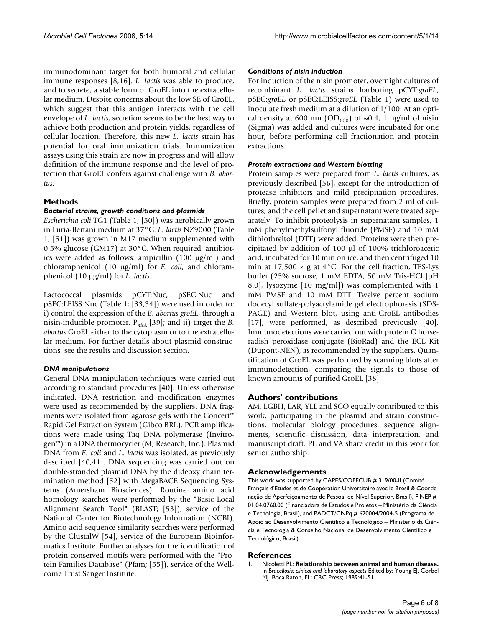immunodominant target for both humoral and cellular immune responses [8,16]. *L. lactis* was able to produce, and to secrete, a stable form of GroEL into the extracellular medium. Despite concerns about the low SE of GroEL, which suggest that this antigen interacts with the cell envelope of *L. lactis*, secretion seems to be the best way to achieve both production and protein yields, regardless of cellular location. Therefore, this new *L. lactis* strain has potential for oral immunization trials. Immunization assays using this strain are now in progress and will allow definition of the immune response and the level of protection that GroEL confers against challenge with *B. abortus*.

# **Methods**

# *Bacterial strains, growth conditions and plasmids*

*Escherichia coli* TG1 (Table 1; [50]) was aerobically grown in Luria-Bertani medium at 37°C. *L. lactis* NZ9000 (Table 1; [51]) was grown in M17 medium supplemented with 0.5% glucose (GM17) at 30°C. When required, antibiotics were added as follows: ampicillin  $(100 \mu g/ml)$  and chloramphenicol (10 µg/ml) for *E. coli*, and chloramphenicol (10 µg/ml) for *L. lactis*.

Lactococcal plasmids pCYT:Nuc, pSEC:Nuc and pSEC:LEISS:Nuc (Table 1; [33,34]) were used in order to: i) control the expression of the *B. abortus groEL*, through a nisin-inducible promoter, P*nisA* [39]; and ii) target the *B. abortus* GroEL either to the cytoplasm or to the extracellular medium. For further details about plasmid constructions, see the results and discussion section.

# *DNA manipulations*

General DNA manipulation techniques were carried out according to standard procedures [40]. Unless otherwise indicated, DNA restriction and modification enzymes were used as recommended by the suppliers. DNA fragments were isolated from agarose gels with the Concert™ Rapid Gel Extraction System (Gibco BRL). PCR amplifications were made using Taq DNA polymerase (Invitrogen™) in a DNA thermocycler (MJ Research, Inc.). Plasmid DNA from *E. coli* and *L. lactis* was isolated, as previously described [40,41]. DNA sequencing was carried out on double-stranded plasmid DNA by the dideoxy chain termination method [52] with MegaBACE Sequencing Systems (Amersham Biosciences). Routine amino acid homology searches were performed by the "Basic Local Alignment Search Tool" (BLAST; [53]), service of the National Center for Biotechnology Information (NCBI). Amino acid sequence similarity searches were performed by the ClustalW [54], service of the European Bioinformatics Institute. Further analyses for the identification of protein-conserved motifs were performed with the "Protein Families Database" (Pfam; [55]), service of the Wellcome Trust Sanger Institute.

# *Conditions of nisin induction*

For induction of the nisin promoter, overnight cultures of recombinant *L. lactis* strains harboring pCYT:*groEL*, pSEC:*groEL* or pSEC:LEISS:*groEL* (Table 1) were used to inoculate fresh medium at a dilution of 1/100. At an optical density at 600 nm (OD<sub>600</sub>) of  $\sim$ 0.4, 1 ng/ml of nisin (Sigma) was added and cultures were incubated for one hour, before performing cell fractionation and protein extractions.

### *Protein extractions and Western blotting*

Protein samples were prepared from *L. lactis* cultures, as previously described [56], except for the introduction of protease inhibitors and mild precipitation procedures. Briefly, protein samples were prepared from 2 ml of cultures, and the cell pellet and supernatant were treated separately. To inhibit proteolysis in supernatant samples, 1 mM phenylmethylsulfonyl fluoride (PMSF) and 10 mM dithiothreitol (DTT) were added. Proteins were then precipitated by addition of 100 µl of 100% trichloroacetic acid, incubated for 10 min on ice, and then centrifuged 10 min at  $17,500 \times g$  at  $4^{\circ}$ C. For the cell fraction, TES-Lys buffer (25% sucrose, 1 mM EDTA, 50 mM Tris-HCl [pH 8.0], lysozyme [10 mg/ml]) was complemented with 1 mM PMSF and 10 mM DTT. Twelve percent sodium dodecyl sulfate-polyacrylamide gel electrophoresis (SDS-PAGE) and Western blot, using anti-GroEL antibodies [17], were performed, as described previously [40]. Immunodetections were carried out with protein G horseradish peroxidase conjugate (BioRad) and the ECL Kit (Dupont-NEN), as recommended by the suppliers. Quantification of GroEL was performed by scanning blots after immunodetection, comparing the signals to those of known amounts of purified GroEL [38].

# **Authors' contributions**

AM, LGBH, LAR, YLL and SCO equally contributed to this work, participating in the plasmid and strain constructions, molecular biology procedures, sequence alignments, scientific discussion, data interpretation, and manuscript draft. PL and VA share credit in this work for senior authorship.

# **Acknowledgements**

This work was supported by CAPES/COFECUB # 319/00-II (Comité Français d'Etudes et de Coopération Universitaire avec le Brésil & Coordenação de Aperfeiçoamento de Pessoal de Nível Superior, Brasil), FINEP # 01.04.0760.00 (Financiadora de Estudos e Projetos – Ministério da Ciência e Tecnologia, Brasil), and PADCT/CNPq # 620004/2004-5 (Programa de Apoio ao Desenvolvimento Científico e Tecnológico – Ministério da Ciência e Tecnologia & Conselho Nacional de Desenvolvimento Científico e Tecnológico, Brasil).

#### **References**

1. Nicoletti PL: **Relationship between animal and human disease.** In *Brucellosis: clinical and laboratory aspects* Edited by: Young EJ, Corbel MJ. Boca Raton, FL: CRC Press; 1989:41-51.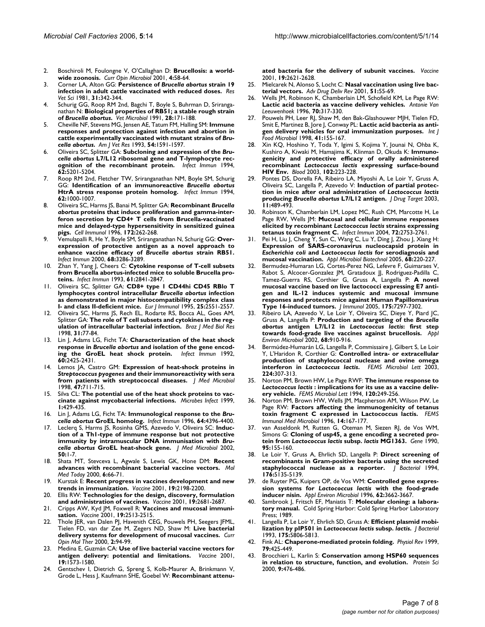- 2. Boschiroli M, Foulongne V, O'Callaghan D: **[Brucellosis: a world](http://www.ncbi.nlm.nih.gov/entrez/query.fcgi?cmd=Retrieve&db=PubMed&dopt=Abstract&list_uids=11173035)[wide zoonosis.](http://www.ncbi.nlm.nih.gov/entrez/query.fcgi?cmd=Retrieve&db=PubMed&dopt=Abstract&list_uids=11173035)** *Curr Opin Microbiol* 2001, **4:**58-64.
- 3. Corner LA, Alton GG: **Persistence of** *Brucella abortus* **[strain 19](http://www.ncbi.nlm.nih.gov/entrez/query.fcgi?cmd=Retrieve&db=PubMed&dopt=Abstract&list_uids=6805054) [infection in adult cattle vaccinated with reduced doses.](http://www.ncbi.nlm.nih.gov/entrez/query.fcgi?cmd=Retrieve&db=PubMed&dopt=Abstract&list_uids=6805054)** *Res Vet Sci* 1981, **31:**342-344.
- 4. Schurig GG, Roop RM 2nd, Bagchi T, Boyle S, Buhrman D, Sriranganathan N: **Biological properties of RB51; a stable rough strain of** *Brucella abortus***[.](http://www.ncbi.nlm.nih.gov/entrez/query.fcgi?cmd=Retrieve&db=PubMed&dopt=Abstract&list_uids=1908158)** *Vet Microbiol* 1991, **28:**171-188.
- 5. Cheville NF, Stevens MG, Jensen AE, Tatum FM, Halling SM: **Immune responses and protection against infection and abortion in cattle experimentally vaccinated with mutant strains of** *Brucella abortus***[.](http://www.ncbi.nlm.nih.gov/entrez/query.fcgi?cmd=Retrieve&db=PubMed&dopt=Abstract&list_uids=8250382)** *Am J Vet Res* 1993, **54:**1591-1597.
- 6. Oliveira SC, Splitter GA: **Subcloning and expression of the** *Brucella abortus* **[L7/L12 ribosomal gene and T-lymphocyte rec](http://www.ncbi.nlm.nih.gov/entrez/query.fcgi?cmd=Retrieve&db=PubMed&dopt=Abstract&list_uids=7927808)[ognition of the recombinant protein.](http://www.ncbi.nlm.nih.gov/entrez/query.fcgi?cmd=Retrieve&db=PubMed&dopt=Abstract&list_uids=7927808)** *Infect Immun* 1994, **62:**5201-5204.
- 7. Roop RM 2nd, Fletcher TW, Sriranganathan NM, Boyle SM, Schurig GG: **Identification of an immunoreactive** *Brucella abortus* **[HtrA stress response protein homolog.](http://www.ncbi.nlm.nih.gov/entrez/query.fcgi?cmd=Retrieve&db=PubMed&dopt=Abstract&list_uids=8112833)** *Infect Immun* 1994, **62:**1000-1007.
- 8. Oliveira SC, Harms JS, Banai M, Splitter GA: **Recombinant** *Brucella abortus* **[proteins that induce proliferation and gamma-inter](http://www.ncbi.nlm.nih.gov/entrez/query.fcgi?cmd=Retrieve&db=PubMed&dopt=Abstract&list_uids=8964089)[feron secretion by CD4+ T cells from Brucella-vaccinated](http://www.ncbi.nlm.nih.gov/entrez/query.fcgi?cmd=Retrieve&db=PubMed&dopt=Abstract&list_uids=8964089) mice and delayed-type hypersensitivity in sensitized guinea [pigs.](http://www.ncbi.nlm.nih.gov/entrez/query.fcgi?cmd=Retrieve&db=PubMed&dopt=Abstract&list_uids=8964089)** *Cell Immunol* 1996, **172:**262-268.
- 9. Vemulapalli R, He Y, Boyle SM, Sriranganathan N, Schurig GG: **Overexpression of protective antigen as a novel approach to enhance vaccine efficacy of** *Brucella abortus* **[strain RB51.](http://www.ncbi.nlm.nih.gov/entrez/query.fcgi?cmd=Retrieve&db=PubMed&dopt=Abstract&list_uids=10816475)** *Infect Immun* 2000, **68:**3286-3289.
- 10. Zhan Y, Yang J, Cheers C: **[Cytokine response of T-cell subsets](http://www.ncbi.nlm.nih.gov/entrez/query.fcgi?cmd=Retrieve&db=PubMed&dopt=Abstract&list_uids=8514387) [from Brucella abortus-infected mice to soluble Brucella pro](http://www.ncbi.nlm.nih.gov/entrez/query.fcgi?cmd=Retrieve&db=PubMed&dopt=Abstract&list_uids=8514387)[teins.](http://www.ncbi.nlm.nih.gov/entrez/query.fcgi?cmd=Retrieve&db=PubMed&dopt=Abstract&list_uids=8514387)** *Infect Immun* 1993, **61:**2841-2847.
- 11. Oliveira SC, Splitter GA: **CD8+ type 1 CD44hi CD45 RBlo T lymphocytes control intracellular** *Brucella abortus* **[infection](http://www.ncbi.nlm.nih.gov/entrez/query.fcgi?cmd=Retrieve&db=PubMed&dopt=Abstract&list_uids=7589125) [as demonstrated in major histocompatibility complex class](http://www.ncbi.nlm.nih.gov/entrez/query.fcgi?cmd=Retrieve&db=PubMed&dopt=Abstract&list_uids=7589125) [I- and class II-deficient mice.](http://www.ncbi.nlm.nih.gov/entrez/query.fcgi?cmd=Retrieve&db=PubMed&dopt=Abstract&list_uids=7589125)** *Eur J Immunol* 1995, **25:**2551-2557.
- 12. Oliveira SC, Harms JS, Rech EL, Rodarte RS, Bocca AL, Goes AM, Splitter GA: **[The role of T cell subsets and cytokines in the reg](http://www.ncbi.nlm.nih.gov/entrez/query.fcgi?cmd=Retrieve&db=PubMed&dopt=Abstract&list_uids=9686182)[ulation of intracellular bacterial infection.](http://www.ncbi.nlm.nih.gov/entrez/query.fcgi?cmd=Retrieve&db=PubMed&dopt=Abstract&list_uids=9686182)** *Braz J Med Biol Res* 1998, **31:**77-84.
- 13. Lin J, Adams LG, Ficht TA: **Characterization of the heat shock response in** *Brucella abortus* **[and isolation of the gene encod](http://www.ncbi.nlm.nih.gov/entrez/query.fcgi?cmd=Retrieve&db=PubMed&dopt=Abstract&list_uids=1350274)[ing the GroEL heat shock protein.](http://www.ncbi.nlm.nih.gov/entrez/query.fcgi?cmd=Retrieve&db=PubMed&dopt=Abstract&list_uids=1350274)** *Infect Immun* 1992, **60:**2425-2431.
- 14. Lemos JA, Castro GM: **Expression of heat-shock proteins in** *Streptococcus pyogenes* **[and their immunoreactivity with sera](http://www.ncbi.nlm.nih.gov/entrez/query.fcgi?cmd=Retrieve&db=PubMed&dopt=Abstract&list_uids=9877192) [from patients with streptococcal diseases.](http://www.ncbi.nlm.nih.gov/entrez/query.fcgi?cmd=Retrieve&db=PubMed&dopt=Abstract&list_uids=9877192)** *J Med Microbiol* 1998, **47:**711-715.
- 15. Silva CL: **[The potential use of the heat shock proteins to vac](http://www.ncbi.nlm.nih.gov/entrez/query.fcgi?cmd=Retrieve&db=PubMed&dopt=Abstract&list_uids=10602675)[cinate against mycobacterial infections.](http://www.ncbi.nlm.nih.gov/entrez/query.fcgi?cmd=Retrieve&db=PubMed&dopt=Abstract&list_uids=10602675)** *Microbes Infect* 1999, **1:**429-435.
- 16. Lin J, Adams LG, Ficht TA: **Immunological response to the** *Brucella abortus* **[GroEL homolog.](http://www.ncbi.nlm.nih.gov/entrez/query.fcgi?cmd=Retrieve&db=PubMed&dopt=Abstract&list_uids=8926120)** *Infect Immun* 1996, **64:**4396-4400.
- 17. Leclerq S, Harms JS, Rosinha GMS, Azevedo V, Oliveira SC: **Induction of a Th1-type of immune response but not protective immunity by intramuscular DNA immunisation with** *Brucella abortus* **GroEL heat-shock gene.** *J Med Microbiol* 2002, **50:**1-7.
- 18. Shata MT, Stevceva L, Agwale S, Lewis GK, Hone DM: **[Recent](http://www.ncbi.nlm.nih.gov/entrez/query.fcgi?cmd=Retrieve&db=PubMed&dopt=Abstract&list_uids=10652479) [advances with recombinant bacterial vaccine vectors.](http://www.ncbi.nlm.nih.gov/entrez/query.fcgi?cmd=Retrieve&db=PubMed&dopt=Abstract&list_uids=10652479)** *Mol Med Today* 2000, **6:**66-71.
- 19. Kurstak E: **[Recent progress in vaccines development and new](http://www.ncbi.nlm.nih.gov/entrez/query.fcgi?cmd=Retrieve&db=PubMed&dopt=Abstract&list_uids=11257332) [trends in immunization.](http://www.ncbi.nlm.nih.gov/entrez/query.fcgi?cmd=Retrieve&db=PubMed&dopt=Abstract&list_uids=11257332)** *Vaccine* 2001, **19:**2198-2200.
- 20. Ellis RW: **[Technologies for the design, discovery, formulation](http://www.ncbi.nlm.nih.gov/entrez/query.fcgi?cmd=Retrieve&db=PubMed&dopt=Abstract&list_uids=11257409) [and administration of vaccines.](http://www.ncbi.nlm.nih.gov/entrez/query.fcgi?cmd=Retrieve&db=PubMed&dopt=Abstract&list_uids=11257409)** *Vaccine* 2001, **19:**2681-2687.
- 21. Cripps AW, Kyd JM, Foxwell R: **[Vaccines and mucosal immuni](http://www.ncbi.nlm.nih.gov/entrez/query.fcgi?cmd=Retrieve&db=PubMed&dopt=Abstract&list_uids=11257385)[sation.](http://www.ncbi.nlm.nih.gov/entrez/query.fcgi?cmd=Retrieve&db=PubMed&dopt=Abstract&list_uids=11257385)** *Vaccine* 2001, **19:**2513-2515.
- Thole JER, van Dalen PJ, Havenith CEG, Pouwels PH, Seegers JFML, Tielen FD, van dar Zee M, Zegers ND, Shaw M: **[Live bacterial](http://www.ncbi.nlm.nih.gov/entrez/query.fcgi?cmd=Retrieve&db=PubMed&dopt=Abstract&list_uids=11249657) [delivery systems for development of mucosal vaccines.](http://www.ncbi.nlm.nih.gov/entrez/query.fcgi?cmd=Retrieve&db=PubMed&dopt=Abstract&list_uids=11249657)** *Curr Opin Mol Ther* 2000, **2:**94-99.
- 23. Medina E, Guzmán CA: **[Use of live bacterial vaccine vectors for](http://www.ncbi.nlm.nih.gov/entrez/query.fcgi?cmd=Retrieve&db=PubMed&dopt=Abstract&list_uids=11166877) [antigen delivery: potential and limitations.](http://www.ncbi.nlm.nih.gov/entrez/query.fcgi?cmd=Retrieve&db=PubMed&dopt=Abstract&list_uids=11166877)** *Vaccine* 2001, **19:**1573-1580.
- 24. Gentschev I, Dietrich G, Spreng S, Kolb-Maurer A, Brinkmann V, Grode L, Hess J, Kaufmann SHE, Goebel W: **[Recombinant attenu-](http://www.ncbi.nlm.nih.gov/entrez/query.fcgi?cmd=Retrieve&db=PubMed&dopt=Abstract&list_uids=11257401)**

**[ated bacteria for the delivery of subunit vaccines.](http://www.ncbi.nlm.nih.gov/entrez/query.fcgi?cmd=Retrieve&db=PubMed&dopt=Abstract&list_uids=11257401)** *Vaccine* 2001, **19:**2621-2628.

- 25. Mielcarek N, Alonso S, Locht C: **[Nasal vaccination using live bac](http://www.ncbi.nlm.nih.gov/entrez/query.fcgi?cmd=Retrieve&db=PubMed&dopt=Abstract&list_uids=11516779)[terial vectors.](http://www.ncbi.nlm.nih.gov/entrez/query.fcgi?cmd=Retrieve&db=PubMed&dopt=Abstract&list_uids=11516779)** *Adv Drug Deliv Rev* 2001, **51:**55-69.
- 26. Wells JM, Robinson K, Chamberlain LM, Schofield KM, Le Page RW: **[Lactic acid bacteria as vaccine delivery vehicles.](http://www.ncbi.nlm.nih.gov/entrez/query.fcgi?cmd=Retrieve&db=PubMed&dopt=Abstract&list_uids=8879413)** *Antonie Van Leeuwenhoek* 1996, **70:**317-330.
- 27. Pouwels PH, Leer RJ, Shaw M, den Bak-Glashouwer MJH, Tielen FD, Smit E, Martinez B, Jore J, Conway PL: **[Lactic acid bacteria as anti](http://www.ncbi.nlm.nih.gov/entrez/query.fcgi?cmd=Retrieve&db=PubMed&dopt=Abstract&list_uids=9704864)[gen delivery vehicles for oral immunization purposes.](http://www.ncbi.nlm.nih.gov/entrez/query.fcgi?cmd=Retrieve&db=PubMed&dopt=Abstract&list_uids=9704864)** *Int J Food Microbiol* 1998, **41:**155-167.
- Xin KQ, Hoshino Y, Toda Y, Igimi S, Kojima Y, Jounai N, Ohba K, Kushiro A, Kiwaki M, Hamajima K, Klinman D, Okuda K: **Immunogenicity and protective efficacy of orally administered recombinant** *Lactococcus lactis* **[expressing surface-bound](http://www.ncbi.nlm.nih.gov/entrez/query.fcgi?cmd=Retrieve&db=PubMed&dopt=Abstract&list_uids=12649143) [HIV Env.](http://www.ncbi.nlm.nih.gov/entrez/query.fcgi?cmd=Retrieve&db=PubMed&dopt=Abstract&list_uids=12649143)** *Blood* 2003, **102:**223-228.
- Pontes DS, Dorella FA, Ribeiro LA, Miyoshi A, Le Loir Y, Gruss A, Oliveira SC, Langella P, Azevedo V: **Induction of partial protection in mice after oral administration of** *Lactococcus lactis* **producing** *Brucella abortus* **[L7/L12 antigen.](http://www.ncbi.nlm.nih.gov/entrez/query.fcgi?cmd=Retrieve&db=PubMed&dopt=Abstract&list_uids=15203917)** *J Drug Target* 2003, **11:**489-493.
- 30. Robinson K, Chamberlain LM, Lopez MC, Rush CM, Marcotte H, Le Page RW, Wells JM: **Mucosal and cellular immune responses elicited by recombinant** *Lactococcus lactis* **[strains expressing](http://www.ncbi.nlm.nih.gov/entrez/query.fcgi?cmd=Retrieve&db=PubMed&dopt=Abstract&list_uids=15102785) [tetanus toxin fragment C.](http://www.ncbi.nlm.nih.gov/entrez/query.fcgi?cmd=Retrieve&db=PubMed&dopt=Abstract&list_uids=15102785)** *Infect Immun* 2004, **72:**2753-2761.
- 31. Pei H, Liu J, Cheng Y, Sun C, Wang C, Lu Y, Ding J, Zhou J, Xiang H: **Expression of SARS-coronavirus nucleocapsid protein in** *Escherichia coli* **and** *Lactococcus lactis* **[for serodiagnosis and](http://www.ncbi.nlm.nih.gov/entrez/query.fcgi?cmd=Retrieve&db=PubMed&dopt=Abstract&list_uids=15660214) [mucosal vaccination.](http://www.ncbi.nlm.nih.gov/entrez/query.fcgi?cmd=Retrieve&db=PubMed&dopt=Abstract&list_uids=15660214)** *Appl Microbiol Biotechnol* 2005, **68:**220-227.
- 32. Bermudez-Humaran LG, Cortes-Perez NG, Lefevre F, Guimaraes V, Rabot S, Alcocer-Gonzalez JM, Gratadoux JJ, Rodriguez-Padilla C, Tamez-Guerra RS, Corthier G, Gruss A, Langella P: **[A novel](http://www.ncbi.nlm.nih.gov/entrez/query.fcgi?cmd=Retrieve&db=PubMed&dopt=Abstract&list_uids=16301635) mucosal vaccine based on live lactococci expressing E7 anti[gen and IL-12 induces systemic and mucosal immune](http://www.ncbi.nlm.nih.gov/entrez/query.fcgi?cmd=Retrieve&db=PubMed&dopt=Abstract&list_uids=16301635) responses and protects mice against Human Papillomavirus [Type 16-induced tumors.](http://www.ncbi.nlm.nih.gov/entrez/query.fcgi?cmd=Retrieve&db=PubMed&dopt=Abstract&list_uids=16301635)** *J Immunol* 2005, **175:**7297-7302.
- Ribeiro LA, Azevedo V, Le Loir Y, Oliveira SC, Dieye Y, Piard JC, Gruss A, Langella P: **Production and targeting of the** *Brucella abortus* **antigen L7/L12 in** *Lactococcus lactis***[: first step](http://www.ncbi.nlm.nih.gov/entrez/query.fcgi?cmd=Retrieve&db=PubMed&dopt=Abstract&list_uids=11823235) [towards food-grade live vaccines against brucellosis.](http://www.ncbi.nlm.nih.gov/entrez/query.fcgi?cmd=Retrieve&db=PubMed&dopt=Abstract&list_uids=11823235)** *Appl Environ Microbiol* 2002, **68:**910-916.
- 34. Bermúdez-Humarán LG, Langella P, Commissaire J, Gilbert S, Le Loir Y, L'Haridon R, Corthier G: **Controlled intra- or extracellular production of staphylococcal nuclease and ovine omega interferon in** *Lactococcus lactis***[.](http://www.ncbi.nlm.nih.gov/entrez/query.fcgi?cmd=Retrieve&db=PubMed&dopt=Abstract&list_uids=12892897)** *FEMS Microbiol Lett* 2003, **224:**307-313.
- <span id="page-6-0"></span>35. Norton PM, Brown HW, Le Page RWF: **The immune response to** *Lactococcus lactis* **[: implications for its use as a vaccine deliv](http://www.ncbi.nlm.nih.gov/entrez/query.fcgi?cmd=Retrieve&db=PubMed&dopt=Abstract&list_uids=8076800)[ery vehicle.](http://www.ncbi.nlm.nih.gov/entrez/query.fcgi?cmd=Retrieve&db=PubMed&dopt=Abstract&list_uids=8076800)** *FEMS Microbiol Lett* 1994, **120:**249-256.
- 36. Norton PM, Brown HW, Wells JM, Macpherson AM, Wilson PW, Le Page RW: **[Factors affecting the immunogenicity of tetanus](http://www.ncbi.nlm.nih.gov/entrez/query.fcgi?cmd=Retrieve&db=PubMed&dopt=Abstract&list_uids=8809553) [toxin fragment C expressed in Lactococcus lactis.](http://www.ncbi.nlm.nih.gov/entrez/query.fcgi?cmd=Retrieve&db=PubMed&dopt=Abstract&list_uids=8809553)** *FEMS Immunol Med Microbiol* 1996, **14:**167-177.
- 37. van Asseldonk M, Rutten G, Oteman M, Siezen RJ, de Vos WM, Simons G: **Cloning of usp45, a gene encoding a secreted protein from** *Lactococcus lactis* **subsp.** *lactis* **[MG1363.](http://www.ncbi.nlm.nih.gov/entrez/query.fcgi?cmd=Retrieve&db=PubMed&dopt=Abstract&list_uids=2123812)** *Gene* 1990, **95:**155-160.
- 38. Le Loir Y, Gruss A, Ehrlich SD, Langella P: **[Direct screening of](http://www.ncbi.nlm.nih.gov/entrez/query.fcgi?cmd=Retrieve&db=PubMed&dopt=Abstract&list_uids=8051029) [recombinants in Gram-positive bacteria using the secreted](http://www.ncbi.nlm.nih.gov/entrez/query.fcgi?cmd=Retrieve&db=PubMed&dopt=Abstract&list_uids=8051029) [staphylococcal nuclease as a reporter.](http://www.ncbi.nlm.nih.gov/entrez/query.fcgi?cmd=Retrieve&db=PubMed&dopt=Abstract&list_uids=8051029)** *J Bacteriol* 1994, **176:**5135-5139.
- 39. de Ruyter PG, Kuipers OP, de Vos WM: **Controlled gene expression systems for** *Lactococcus lactis* **[with the food-grade](http://www.ncbi.nlm.nih.gov/entrez/query.fcgi?cmd=Retrieve&db=PubMed&dopt=Abstract&list_uids=8837421) [inducer nisin.](http://www.ncbi.nlm.nih.gov/entrez/query.fcgi?cmd=Retrieve&db=PubMed&dopt=Abstract&list_uids=8837421)** *Appl Environ Microbiol* 1996, **62:**3662-3667.
- 40. Sambrook J, Fritsch EF, Maniatis T: **Molecular cloning: a laboratory manual.** Cold Spring Harbor: Cold Spring Harbor Laboratory Press; 1989.
- 41. Langella P, Le Loir Y, Ehrlich SD, Gruss A: **Efficient plasmid mobilization by pIP501 in** *Lactococcus lactis* **subsp.** *lactis***[.](http://www.ncbi.nlm.nih.gov/entrez/query.fcgi?cmd=Retrieve&db=PubMed&dopt=Abstract&list_uids=8376328)** *J Bacteriol* 1993, **175:**5806-5813.
- 42. Fink AL: **[Chaperone-mediated protein folding.](http://www.ncbi.nlm.nih.gov/entrez/query.fcgi?cmd=Retrieve&db=PubMed&dopt=Abstract&list_uids=10221986)** *Physiol Rev* 1999, **79:**425-449.
- 43. Brocchieri L, Karlin S: **[Conservation among HSP60 sequences](http://www.ncbi.nlm.nih.gov/entrez/query.fcgi?cmd=Retrieve&db=PubMed&dopt=Abstract&list_uids=10752609) [in relation to structure, function, and evolution.](http://www.ncbi.nlm.nih.gov/entrez/query.fcgi?cmd=Retrieve&db=PubMed&dopt=Abstract&list_uids=10752609)** *Protein Sci* 2000, **9:**476-486.